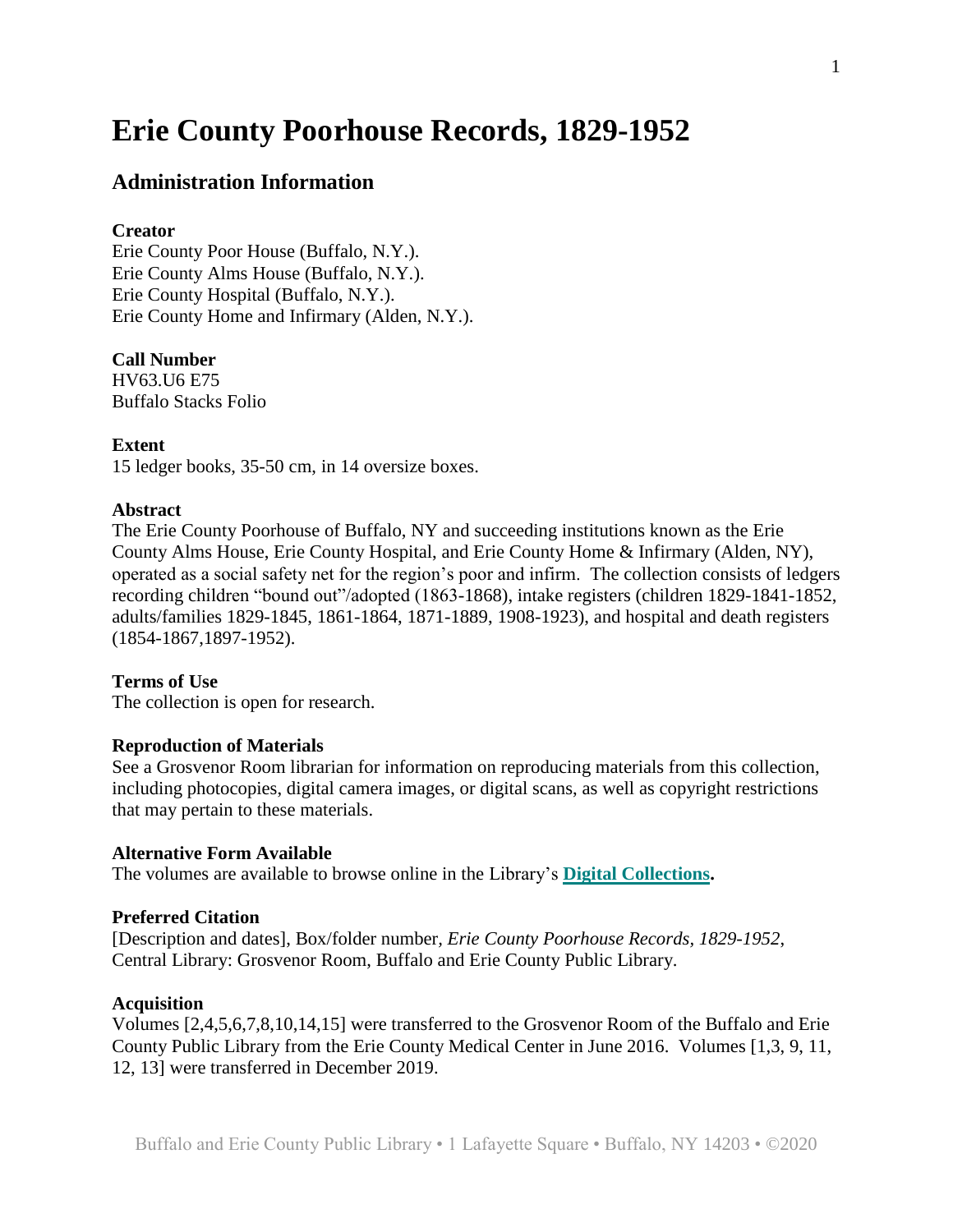# **Erie County Poorhouse Records, 1829-1952**

# **Administration Information**

## **Creator**

Erie County Poor House (Buffalo, N.Y.). Erie County Alms House (Buffalo, N.Y.). Erie County Hospital (Buffalo, N.Y.). Erie County Home and Infirmary (Alden, N.Y.).

## **Call Number**

HV63.U6 E75 Buffalo Stacks Folio

**Extent**

15 ledger books, 35-50 cm, in 14 oversize boxes.

## **Abstract**

The Erie County Poorhouse of Buffalo, NY and succeeding institutions known as the Erie County Alms House, Erie County Hospital, and Erie County Home & Infirmary (Alden, NY), operated as a social safety net for the region's poor and infirm. The collection consists of ledgers recording children "bound out"/adopted (1863-1868), intake registers (children 1829-1841-1852, adults/families 1829-1845, 1861-1864, 1871-1889, 1908-1923), and hospital and death registers (1854-1867,1897-1952).

### **Terms of Use**

The collection is open for research.

## **Reproduction of Materials**

See a Grosvenor Room librarian for information on reproducing materials from this collection, including photocopies, digital camera images, or digital scans, as well as copyright restrictions that may pertain to these materials.

#### **Alternative Form Available**

The volumes are available to browse online in the Library's **[Digital Collections.](http://digital.buffalolib.org/collections/show/5)**

## **Preferred Citation**

[Description and dates], Box/folder number*, Erie County Poorhouse Records, 1829-1952*, Central Library: Grosvenor Room, Buffalo and Erie County Public Library.

# **Acquisition**

Volumes [2,4,5,6,7,8,10,14,15] were transferred to the Grosvenor Room of the Buffalo and Erie County Public Library from the Erie County Medical Center in June 2016. Volumes [1,3, 9, 11, 12, 13] were transferred in December 2019.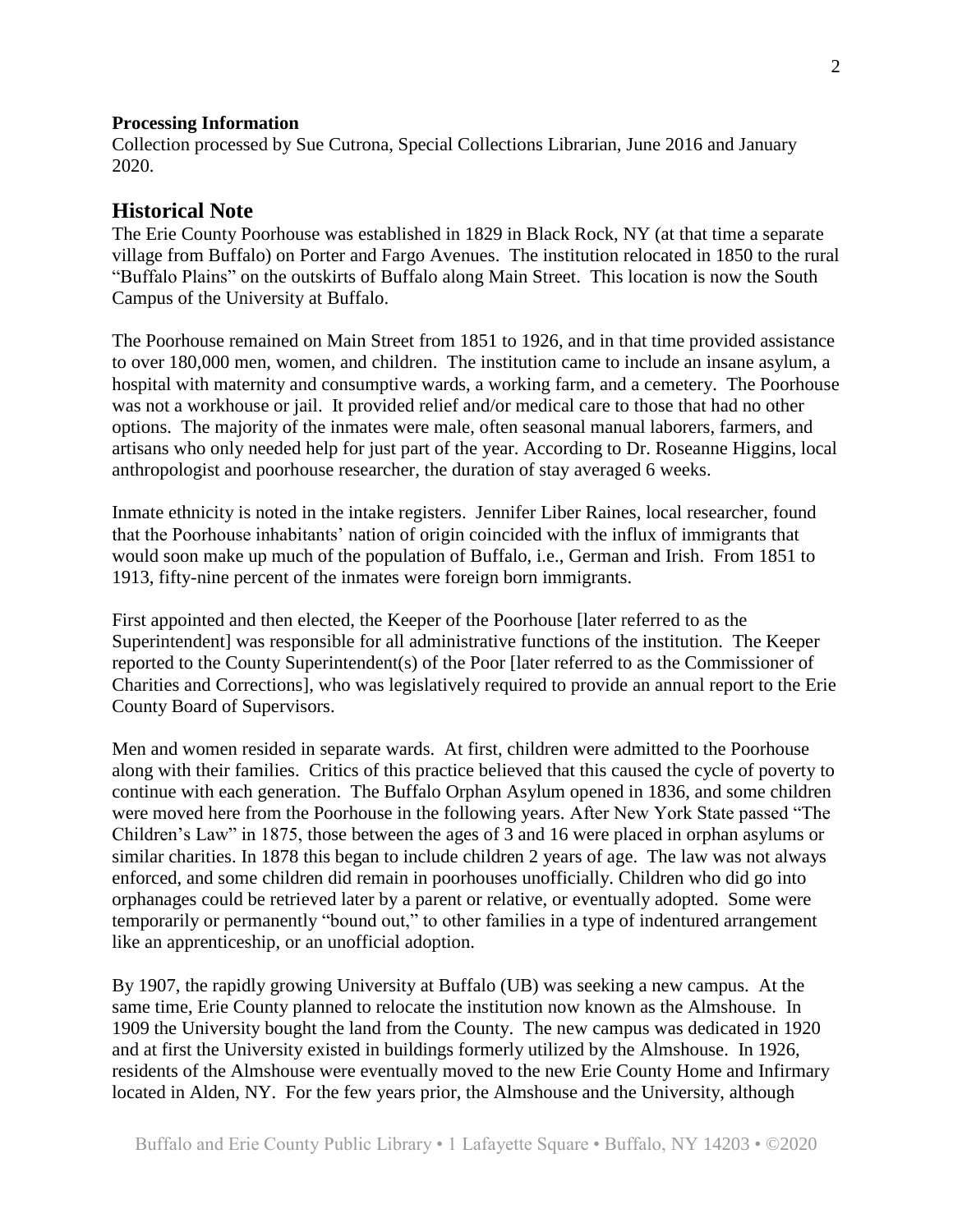#### **Processing Information**

Collection processed by Sue Cutrona, Special Collections Librarian, June 2016 and January 2020.

# **Historical Note**

The Erie County Poorhouse was established in 1829 in Black Rock, NY (at that time a separate village from Buffalo) on Porter and Fargo Avenues. The institution relocated in 1850 to the rural "Buffalo Plains" on the outskirts of Buffalo along Main Street. This location is now the South Campus of the University at Buffalo.

The Poorhouse remained on Main Street from 1851 to 1926, and in that time provided assistance to over 180,000 men, women, and children. The institution came to include an insane asylum, a hospital with maternity and consumptive wards, a working farm, and a cemetery. The Poorhouse was not a workhouse or jail. It provided relief and/or medical care to those that had no other options. The majority of the inmates were male, often seasonal manual laborers, farmers, and artisans who only needed help for just part of the year. According to Dr. Roseanne Higgins, local anthropologist and poorhouse researcher, the duration of stay averaged 6 weeks.

Inmate ethnicity is noted in the intake registers. Jennifer Liber Raines, local researcher, found that the Poorhouse inhabitants' nation of origin coincided with the influx of immigrants that would soon make up much of the population of Buffalo, i.e., German and Irish. From 1851 to 1913, fifty-nine percent of the inmates were foreign born immigrants.

First appointed and then elected, the Keeper of the Poorhouse [later referred to as the Superintendent] was responsible for all administrative functions of the institution. The Keeper reported to the County Superintendent(s) of the Poor [later referred to as the Commissioner of Charities and Corrections], who was legislatively required to provide an annual report to the Erie County Board of Supervisors.

Men and women resided in separate wards. At first, children were admitted to the Poorhouse along with their families. Critics of this practice believed that this caused the cycle of poverty to continue with each generation. The Buffalo Orphan Asylum opened in 1836, and some children were moved here from the Poorhouse in the following years. After New York State passed "The Children's Law" in 1875, those between the ages of 3 and 16 were placed in orphan asylums or similar charities. In 1878 this began to include children 2 years of age. The law was not always enforced, and some children did remain in poorhouses unofficially. Children who did go into orphanages could be retrieved later by a parent or relative, or eventually adopted. Some were temporarily or permanently "bound out," to other families in a type of indentured arrangement like an apprenticeship, or an unofficial adoption.

By 1907, the rapidly growing University at Buffalo (UB) was seeking a new campus. At the same time, Erie County planned to relocate the institution now known as the Almshouse. In 1909 the University bought the land from the County. The new campus was dedicated in 1920 and at first the University existed in buildings formerly utilized by the Almshouse. In 1926, residents of the Almshouse were eventually moved to the new Erie County Home and Infirmary located in Alden, NY. For the few years prior, the Almshouse and the University, although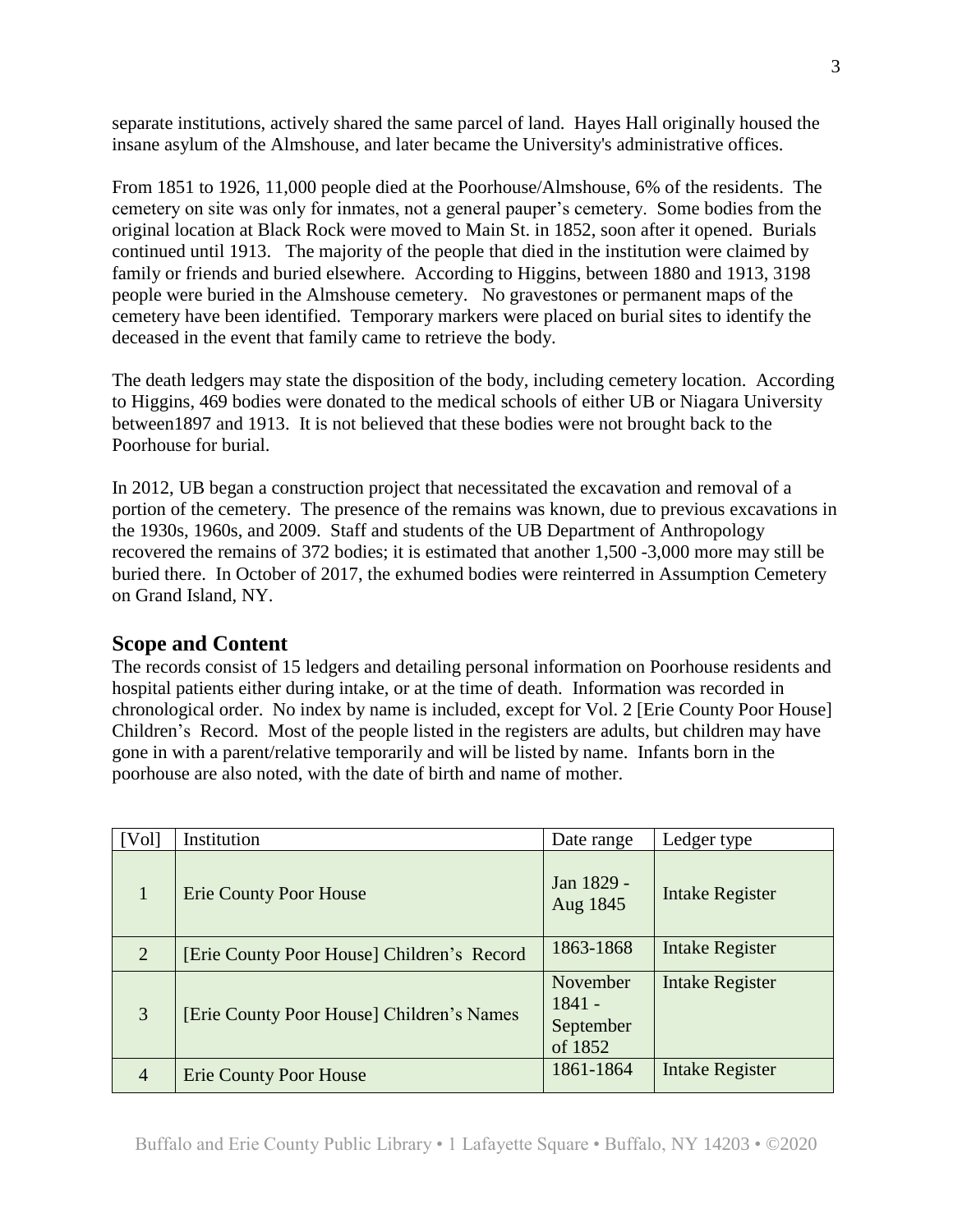separate institutions, actively shared the same parcel of land. Hayes Hall originally housed the insane asylum of the Almshouse, and later became the University's administrative offices.

From 1851 to 1926, 11,000 people died at the Poorhouse/Almshouse, 6% of the residents. The cemetery on site was only for inmates, not a general pauper's cemetery. Some bodies from the original location at Black Rock were moved to Main St. in 1852, soon after it opened. Burials continued until 1913. The majority of the people that died in the institution were claimed by family or friends and buried elsewhere. According to Higgins, between 1880 and 1913, 3198 people were buried in the Almshouse cemetery. No gravestones or permanent maps of the cemetery have been identified. Temporary markers were placed on burial sites to identify the deceased in the event that family came to retrieve the body.

The death ledgers may state the disposition of the body, including cemetery location. According to Higgins, 469 bodies were donated to the medical schools of either UB or Niagara University between1897 and 1913. It is not believed that these bodies were not brought back to the Poorhouse for burial.

In 2012, UB began a construction project that necessitated the excavation and removal of a portion of the cemetery. The presence of the remains was known, due to previous excavations in the 1930s, 1960s, and 2009. Staff and students of the UB Department of Anthropology recovered the remains of 372 bodies; it is estimated that another 1,500 -3,000 more may still be buried there. In October of 2017, the exhumed bodies were reinterred in Assumption Cemetery on Grand Island, NY.

# **Scope and Content**

The records consist of 15 ledgers and detailing personal information on Poorhouse residents and hospital patients either during intake, or at the time of death. Information was recorded in chronological order. No index by name is included, except for Vol. 2 [Erie County Poor House] Children's Record. Most of the people listed in the registers are adults, but children may have gone in with a parent/relative temporarily and will be listed by name. Infants born in the poorhouse are also noted, with the date of birth and name of mother.

| [Vol]          | Institution                                | Date range                                   | Ledger type            |
|----------------|--------------------------------------------|----------------------------------------------|------------------------|
|                | <b>Erie County Poor House</b>              | Jan 1829 -<br>Aug 1845                       | <b>Intake Register</b> |
| 2              | [Erie County Poor House] Children's Record | 1863-1868                                    | <b>Intake Register</b> |
| $\overline{3}$ | [Erie County Poor House] Children's Names  | November<br>$1841 -$<br>September<br>of 1852 | <b>Intake Register</b> |
| $\overline{4}$ | <b>Erie County Poor House</b>              | 1861-1864                                    | <b>Intake Register</b> |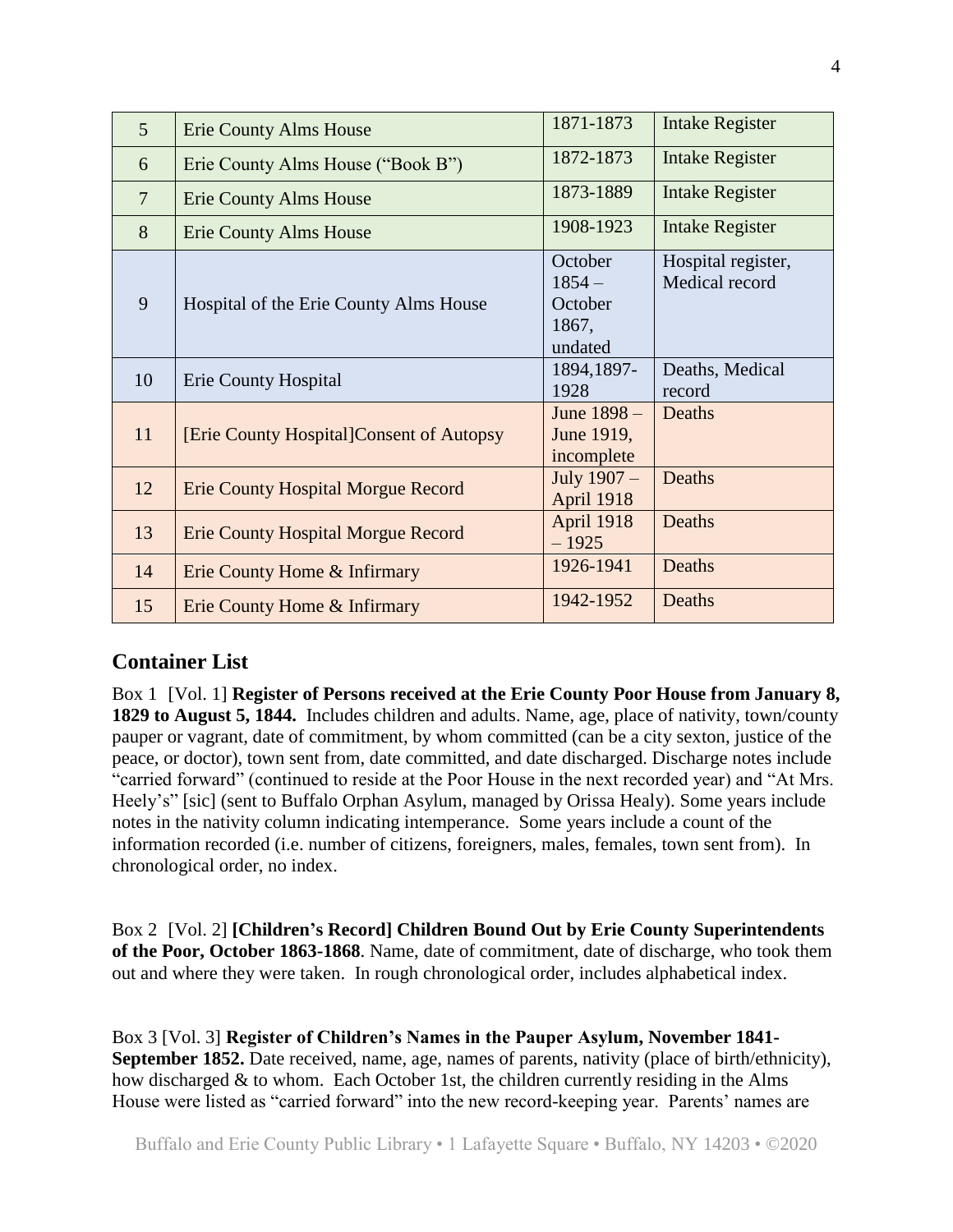| 5              | <b>Erie County Alms House</b>             | 1871-1873                                          | <b>Intake Register</b>               |
|----------------|-------------------------------------------|----------------------------------------------------|--------------------------------------|
| 6              | Erie County Alms House ("Book B")         | 1872-1873                                          | <b>Intake Register</b>               |
| $\overline{7}$ | <b>Erie County Alms House</b>             | 1873-1889                                          | <b>Intake Register</b>               |
| 8              | <b>Erie County Alms House</b>             | 1908-1923                                          | <b>Intake Register</b>               |
| 9              | Hospital of the Erie County Alms House    | October<br>$1854 -$<br>October<br>1867,<br>undated | Hospital register,<br>Medical record |
| 10             | <b>Erie County Hospital</b>               | 1894, 1897-<br>1928                                | Deaths, Medical<br>record            |
| 11             | [Erie County Hospital] Consent of Autopsy | June 1898 -<br>June 1919,<br>incomplete            | Deaths                               |
| 12             | <b>Erie County Hospital Morgue Record</b> | July 1907 -<br>April 1918                          | Deaths                               |
| 13             | <b>Erie County Hospital Morgue Record</b> | April 1918<br>$-1925$                              | Deaths                               |
| 14             | Erie County Home & Infirmary              | 1926-1941                                          | Deaths                               |
| 15             | Erie County Home & Infirmary              | 1942-1952                                          | Deaths                               |

# **Container List**

Box 1 [Vol. 1] **Register of Persons received at the Erie County Poor House from January 8, 1829 to August 5, 1844.** Includes children and adults. Name, age, place of nativity, town/county pauper or vagrant, date of commitment, by whom committed (can be a city sexton, justice of the peace, or doctor), town sent from, date committed, and date discharged. Discharge notes include "carried forward" (continued to reside at the Poor House in the next recorded year) and "At Mrs. Heely's" [sic] (sent to Buffalo Orphan Asylum, managed by Orissa Healy). Some years include notes in the nativity column indicating intemperance. Some years include a count of the information recorded (i.e. number of citizens, foreigners, males, females, town sent from). In chronological order, no index.

Box 2 [Vol. 2] **[Children's Record] Children Bound Out by Erie County Superintendents of the Poor, October 1863-1868**. Name, date of commitment, date of discharge, who took them out and where they were taken. In rough chronological order, includes alphabetical index.

Box 3 [Vol. 3] **Register of Children's Names in the Pauper Asylum, November 1841- September 1852.** Date received, name, age, names of parents, nativity (place of birth/ethnicity), how discharged & to whom. Each October 1st, the children currently residing in the Alms House were listed as "carried forward" into the new record-keeping year. Parents' names are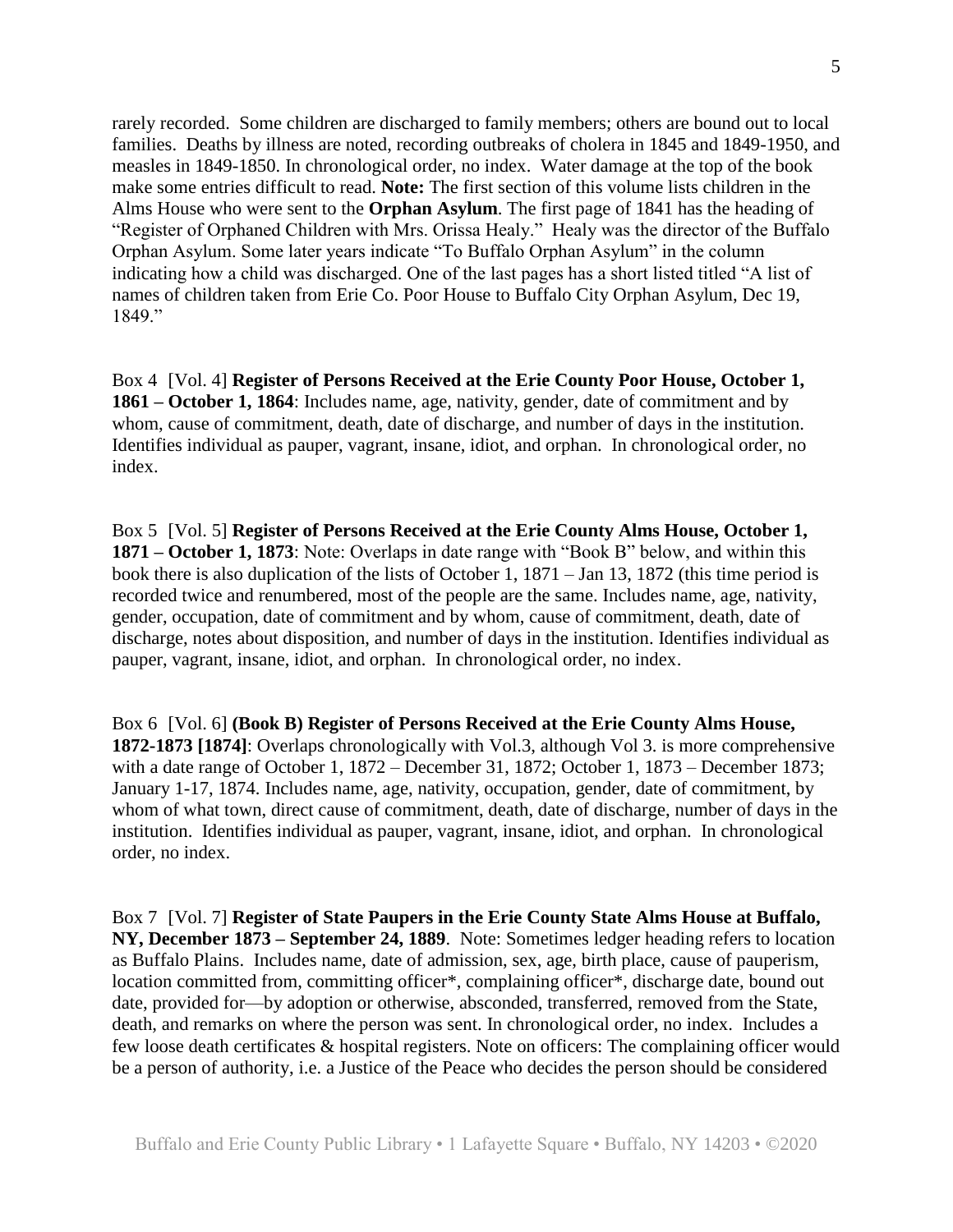rarely recorded. Some children are discharged to family members; others are bound out to local families. Deaths by illness are noted, recording outbreaks of cholera in 1845 and 1849-1950, and measles in 1849-1850. In chronological order, no index. Water damage at the top of the book make some entries difficult to read. **Note:** The first section of this volume lists children in the Alms House who were sent to the **Orphan Asylum**. The first page of 1841 has the heading of "Register of Orphaned Children with Mrs. Orissa Healy." Healy was the director of the Buffalo Orphan Asylum. Some later years indicate "To Buffalo Orphan Asylum" in the column indicating how a child was discharged. One of the last pages has a short listed titled "A list of names of children taken from Erie Co. Poor House to Buffalo City Orphan Asylum, Dec 19, 1849."

Box 4 [Vol. 4] **Register of Persons Received at the Erie County Poor House, October 1, 1861 – October 1, 1864**: Includes name, age, nativity, gender, date of commitment and by whom, cause of commitment, death, date of discharge, and number of days in the institution. Identifies individual as pauper, vagrant, insane, idiot, and orphan. In chronological order, no index.

Box 5 [Vol. 5] **Register of Persons Received at the Erie County Alms House, October 1, 1871 – October 1, 1873**: Note: Overlaps in date range with "Book B" below, and within this book there is also duplication of the lists of October 1, 1871 – Jan 13, 1872 (this time period is recorded twice and renumbered, most of the people are the same. Includes name, age, nativity, gender, occupation, date of commitment and by whom, cause of commitment, death, date of discharge, notes about disposition, and number of days in the institution. Identifies individual as pauper, vagrant, insane, idiot, and orphan. In chronological order, no index.

Box 6 [Vol. 6] **(Book B) Register of Persons Received at the Erie County Alms House, 1872-1873 [1874]**: Overlaps chronologically with Vol.3, although Vol 3. is more comprehensive with a date range of October 1, 1872 – December 31, 1872; October 1, 1873 – December 1873; January 1-17, 1874. Includes name, age, nativity, occupation, gender, date of commitment, by whom of what town, direct cause of commitment, death, date of discharge, number of days in the institution. Identifies individual as pauper, vagrant, insane, idiot, and orphan. In chronological order, no index.

Box 7 [Vol. 7] **Register of State Paupers in the Erie County State Alms House at Buffalo, NY, December 1873 – September 24, 1889**. Note: Sometimes ledger heading refers to location as Buffalo Plains. Includes name, date of admission, sex, age, birth place, cause of pauperism, location committed from, committing officer\*, complaining officer\*, discharge date, bound out date, provided for—by adoption or otherwise, absconded, transferred, removed from the State, death, and remarks on where the person was sent. In chronological order, no index. Includes a few loose death certificates & hospital registers. Note on officers: The complaining officer would be a person of authority, i.e. a Justice of the Peace who decides the person should be considered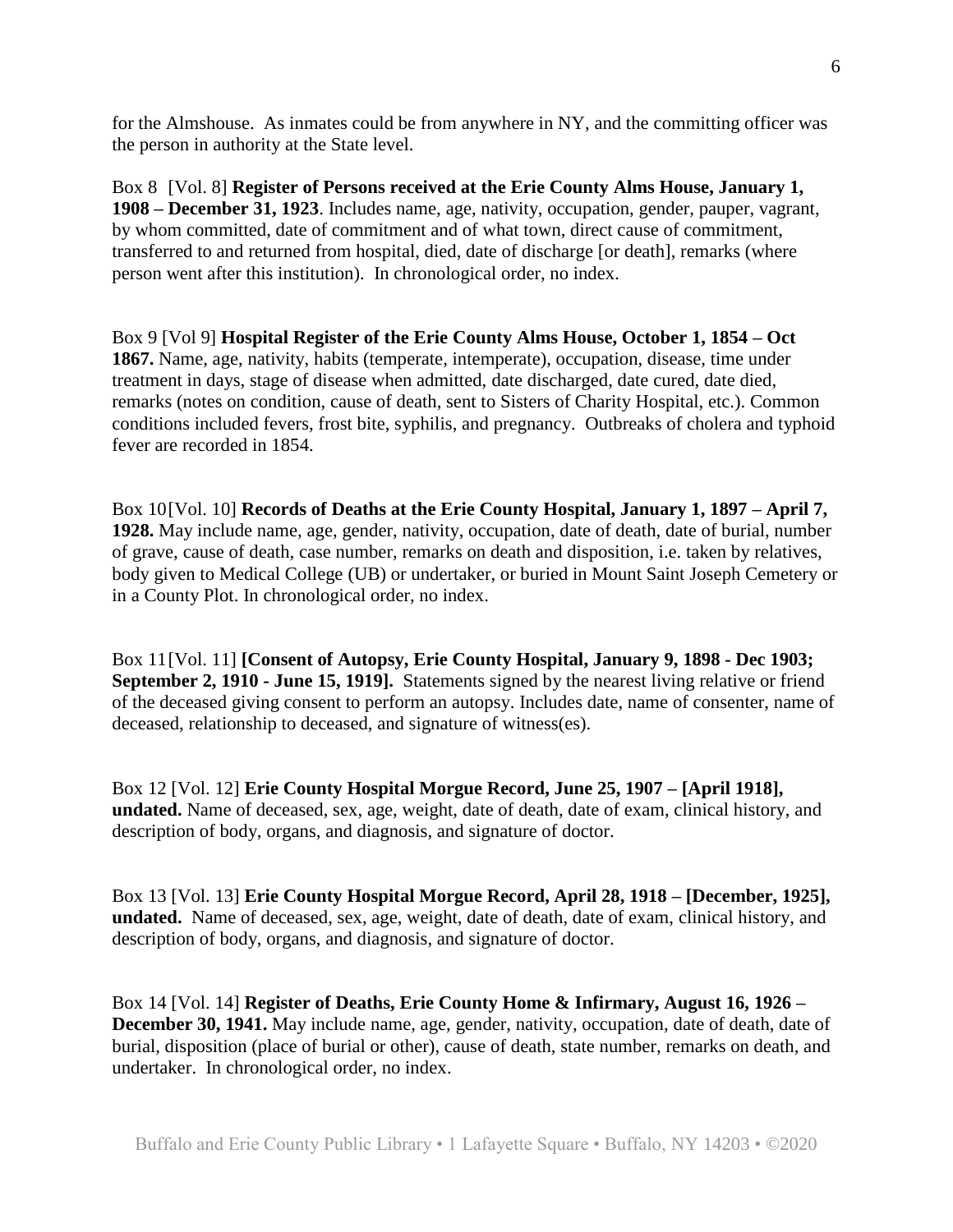for the Almshouse. As inmates could be from anywhere in NY, and the committing officer was the person in authority at the State level.

Box 8 [Vol. 8] **Register of Persons received at the Erie County Alms House, January 1, 1908 – December 31, 1923**. Includes name, age, nativity, occupation, gender, pauper, vagrant, by whom committed, date of commitment and of what town, direct cause of commitment, transferred to and returned from hospital, died, date of discharge [or death], remarks (where person went after this institution). In chronological order, no index.

Box 9 [Vol 9] **Hospital Register of the Erie County Alms House, October 1, 1854 – Oct 1867.** Name, age, nativity, habits (temperate, intemperate), occupation, disease, time under treatment in days, stage of disease when admitted, date discharged, date cured, date died, remarks (notes on condition, cause of death, sent to Sisters of Charity Hospital, etc.). Common conditions included fevers, frost bite, syphilis, and pregnancy. Outbreaks of cholera and typhoid fever are recorded in 1854.

Box 10[Vol. 10] **Records of Deaths at the Erie County Hospital, January 1, 1897 – April 7, 1928.** May include name, age, gender, nativity, occupation, date of death, date of burial, number of grave, cause of death, case number, remarks on death and disposition, i.e. taken by relatives, body given to Medical College (UB) or undertaker, or buried in Mount Saint Joseph Cemetery or in a County Plot. In chronological order, no index.

Box 11[Vol. 11] **[Consent of Autopsy, Erie County Hospital, January 9, 1898 - Dec 1903; September 2, 1910 - June 15, 1919].** Statements signed by the nearest living relative or friend of the deceased giving consent to perform an autopsy. Includes date, name of consenter, name of deceased, relationship to deceased, and signature of witness(es).

Box 12 [Vol. 12] **Erie County Hospital Morgue Record, June 25, 1907 – [April 1918], undated.** Name of deceased, sex, age, weight, date of death, date of exam, clinical history, and description of body, organs, and diagnosis, and signature of doctor.

Box 13 [Vol. 13] **Erie County Hospital Morgue Record, April 28, 1918 – [December, 1925], undated.** Name of deceased, sex, age, weight, date of death, date of exam, clinical history, and description of body, organs, and diagnosis, and signature of doctor.

Box 14 [Vol. 14] **Register of Deaths, Erie County Home & Infirmary, August 16, 1926 – December 30, 1941.** May include name, age, gender, nativity, occupation, date of death, date of burial, disposition (place of burial or other), cause of death, state number, remarks on death, and undertaker. In chronological order, no index.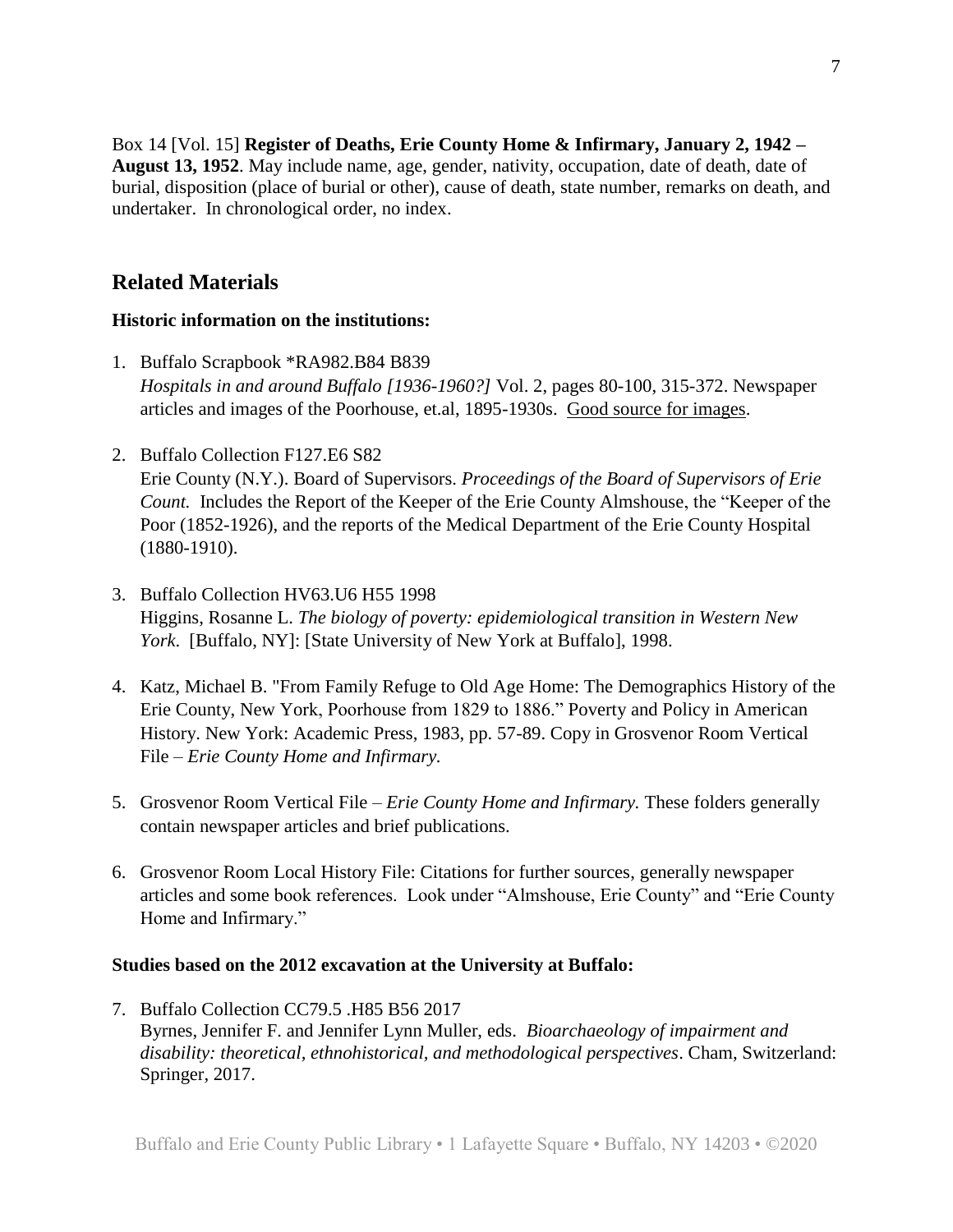Box 14 [Vol. 15] **Register of Deaths, Erie County Home & Infirmary, January 2, 1942 – August 13, 1952**. May include name, age, gender, nativity, occupation, date of death, date of burial, disposition (place of burial or other), cause of death, state number, remarks on death, and undertaker. In chronological order, no index.

# **Related Materials**

# **Historic information on the institutions:**

- 1. Buffalo Scrapbook \*RA982.B84 B839 *Hospitals in and around Buffalo [1936-1960?]* Vol. 2, pages 80-100, 315-372. Newspaper articles and images of the Poorhouse, et.al, 1895-1930s. Good source for images.
- 2. Buffalo Collection F127.E6 S82

Erie County (N.Y.). Board of Supervisors. *Proceedings of the Board of Supervisors of Erie Count.* Includes the Report of the Keeper of the Erie County Almshouse, the "Keeper of the Poor (1852-1926), and the reports of the Medical Department of the Erie County Hospital (1880-1910).

- 3. Buffalo Collection HV63.U6 H55 1998 Higgins, Rosanne L. *The biology of poverty: epidemiological transition in Western New York*. [Buffalo, NY]: [State University of New York at Buffalo], 1998.
- 4. Katz, Michael B. "From Family Refuge to Old Age Home: The Demographics History of the Erie County, New York, Poorhouse from 1829 to 1886." Poverty and Policy in American History. New York: Academic Press, 1983, pp. 57-89. Copy in Grosvenor Room Vertical File – *Erie County Home and Infirmary.*
- 5. Grosvenor Room Vertical File *Erie County Home and Infirmary.* These folders generally contain newspaper articles and brief publications.
- 6. Grosvenor Room Local History File: Citations for further sources, generally newspaper articles and some book references. Look under "Almshouse, Erie County" and "Erie County Home and Infirmary."

# **Studies based on the 2012 excavation at the University at Buffalo:**

7. Buffalo Collection CC79.5 .H85 B56 2017 Byrnes, Jennifer F. and Jennifer Lynn Muller, eds. *Bioarchaeology of impairment and disability: theoretical, ethnohistorical, and methodological perspectives*. Cham, Switzerland: Springer, 2017.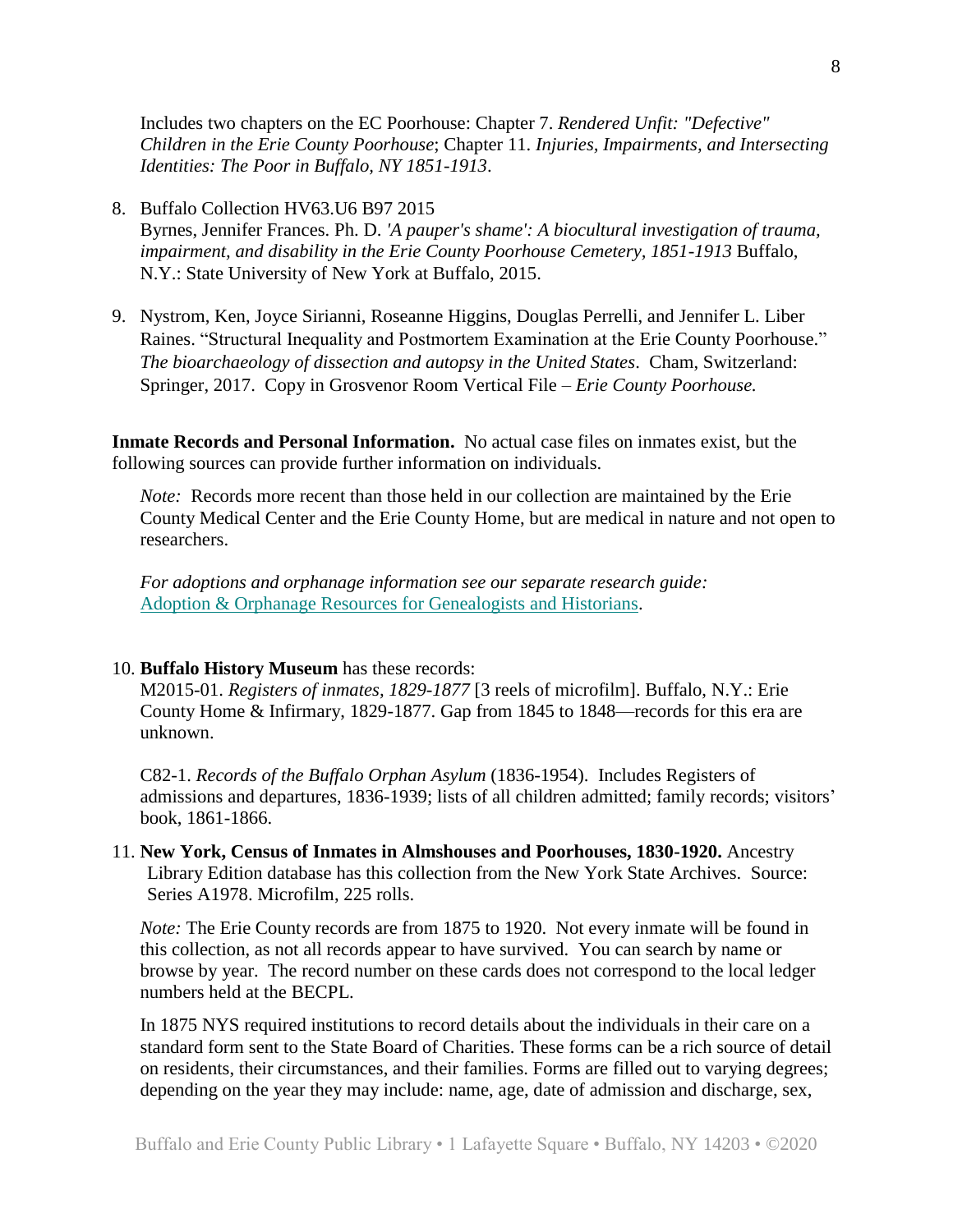Includes two chapters on the EC Poorhouse: Chapter 7. *Rendered Unfit: "Defective" Children in the Erie County Poorhouse*; Chapter 11. *Injuries, Impairments, and Intersecting Identities: The Poor in Buffalo, NY 1851-1913*.

- 8. Buffalo Collection HV63.U6 B97 2015 Byrnes, Jennifer Frances. Ph. D. *'A pauper's shame': A biocultural investigation of trauma, impairment, and disability in the Erie County Poorhouse Cemetery, 1851-1913* Buffalo, N.Y.: State University of New York at Buffalo, 2015.
- 9. Nystrom, Ken, Joyce Sirianni, Roseanne Higgins, Douglas Perrelli, and Jennifer L. Liber Raines. "Structural Inequality and Postmortem Examination at the Erie County Poorhouse." *The bioarchaeology of dissection and autopsy in the United States*. Cham, Switzerland: Springer, 2017. Copy in Grosvenor Room Vertical File – *Erie County Poorhouse.*

**Inmate Records and Personal Information.** No actual case files on inmates exist, but the following sources can provide further information on individuals.

*Note:* Records more recent than those held in our collection are maintained by the Erie County Medical Center and the Erie County Home, but are medical in nature and not open to researchers.

*For adoptions and orphanage information see our separate research guide:* [Adoption & Orphanage Resources for Genealogists and Historians.](https://www.buffalolib.org/special-collections/guides-publications#Adoption)

## 10. **Buffalo History Museum** has these records:

M2015-01. *Registers of inmates, 1829-1877* [3 reels of microfilm]. Buffalo, N.Y.: Erie County Home & Infirmary, 1829-1877. Gap from 1845 to 1848—records for this era are unknown.

C82-1. *Records of the Buffalo Orphan Asylum* (1836-1954). Includes Registers of admissions and departures, 1836-1939; lists of all children admitted; family records; visitors' book, 1861-1866.

11. **New York, Census of Inmates in Almshouses and Poorhouses, 1830-1920.** Ancestry Library Edition database has this collection from the New York State Archives.Source: Series A1978. Microfilm, 225 rolls.

*Note:* The Erie County records are from 1875 to 1920. Not every inmate will be found in this collection, as not all records appear to have survived. You can search by name or browse by year. The record number on these cards does not correspond to the local ledger numbers held at the BECPL.

In 1875 NYS required institutions to record details about the individuals in their care on a standard form sent to the State Board of Charities. These forms can be a rich source of detail on residents, their circumstances, and their families. Forms are filled out to varying degrees; depending on the year they may include: name, age, date of admission and discharge, sex,